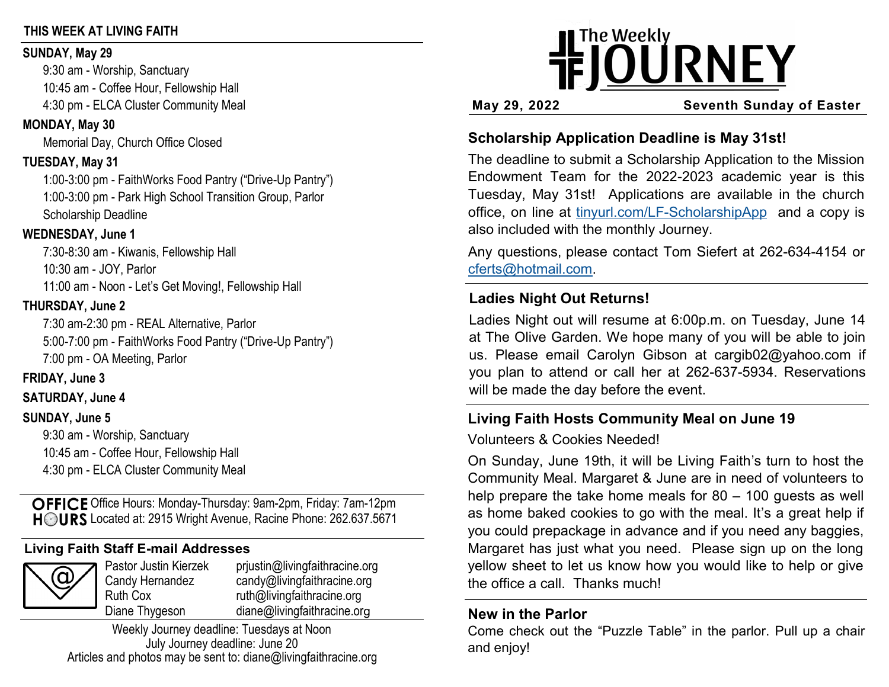## **THIS WEEK AT LIVING FAITH**

#### **SUNDAY, May 29**

9:30 am - Worship, Sanctuary 10:45 am - Coffee Hour, Fellowship Hall 4:30 pm - ELCA Cluster Community Meal

## **MONDAY, May 30**

Memorial Day, Church Office Closed

# **TUESDAY, May 31**

1:00-3:00 pm - FaithWorks Food Pantry ("Drive-Up Pantry") 1:00-3:00 pm - Park High School Transition Group, Parlor Scholarship Deadline

## **WEDNESDAY, June 1**

7:30-8:30 am - Kiwanis, Fellowship Hall 10:30 am - JOY, Parlor 11:00 am - Noon - Let's Get Moving!, Fellowship Hall

## **THURSDAY, June 2**

7:30 am-2:30 pm - REAL Alternative, Parlor 5:00-7:00 pm - FaithWorks Food Pantry ("Drive-Up Pantry") 7:00 pm - OA Meeting, Parlor

# **FRIDAY, June 3**

# **SATURDAY, June 4**

# **SUNDAY, June 5**

9:30 am - Worship, Sanctuary 10:45 am - Coffee Hour, Fellowship Hall 4:30 pm - ELCA Cluster Community Meal

OFFICE Office Hours: Monday-Thursday: 9am-2pm, Friday: 7am-12pm HOURS Located at: 2915 Wright Avenue, Racine Phone: 262.637.5671

# **Living Faith Staff E-mail Addresses**

|--|

Pastor Justin Kierzek prjustin@livingfaithracine.org Candy Hernandez candy@livingfaithracine.org Ruth Cox ruth@livingfaithracine.org Diane Thygeson diane@livingfaithracine.org

Weekly Journey deadline: Tuesdays at Noon July Journey deadline: June 20 Articles and photos may be sent to: diane@livingfaithracine.org

# **IFJOURNEY**

**May 29, 2022 Seventh Sunday of Easter**

# **Scholarship Application Deadline is May 31st!**

The deadline to submit a Scholarship Application to the Mission Endowment Team for the 2022-2023 academic year is this Tuesday, May 31st! Applications are available in the church office, on line at tinyurl.com/LF-[ScholarshipApp](https://tinyurl.com/LF-ScholarshipApp) and a copy is also included with the monthly Journey.

Any questions, please contact Tom Siefert at 262-634-4154 or [cferts@hotmail.com.](mailto:cferts@hotmail.com)

# **Ladies Night Out Returns!**

Ladies Night out will resume at 6:00p.m. on Tuesday, June 14 at The Olive Garden. We hope many of you will be able to join us. Please email Carolyn Gibson at cargib02@yahoo.com if you plan to attend or call her at 262-637-5934. Reservations will be made the day before the event.

# **Living Faith Hosts Community Meal on June 19**

Volunteers & Cookies Needed!

On Sunday, June 19th, it will be Living Faith's turn to host the Community Meal. Margaret & June are in need of volunteers to help prepare the take home meals for 80 – 100 guests as well as home baked cookies to go with the meal. It's a great help if you could prepackage in advance and if you need any baggies, Margaret has just what you need. Please sign up on the long yellow sheet to let us know how you would like to help or give the office a call. Thanks much!

# **New in the Parlor**

Come check out the "Puzzle Table" in the parlor. Pull up a chair and enjoy!